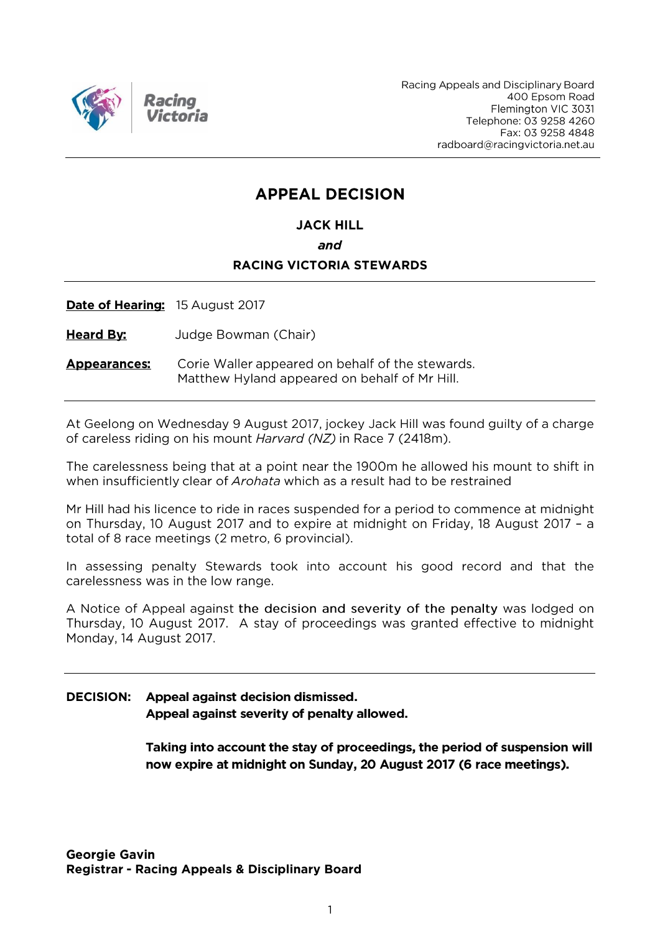

Racing Appeals and Disciplinary Board 400 Epsom Road Flemington VIC 3031 Telephone: 03 9258 4260 Fax: 03 9258 4848 radboard@racingvictoria.net.au

## **APPEAL DECISION**

#### **JACK HILL**

and

#### **RACING VICTORIA STEWARDS**

Date of Hearing: 15 August 2017

**Heard By:** Judge Bowman (Chair)

Corie Waller appeared on behalf of the stewards. **Appearances:** Matthew Hyland appeared on behalf of Mr Hill.

At Geelong on Wednesday 9 August 2017, jockey Jack Hill was found guilty of a charge of careless riding on his mount Harvard (NZ) in Race 7 (2418m).

The carelessness being that at a point near the 1900m he allowed his mount to shift in when insufficiently clear of *Arohata* which as a result had to be restrained

Mr Hill had his licence to ride in races suspended for a period to commence at midnight on Thursday, 10 August 2017 and to expire at midnight on Friday, 18 August 2017 - a total of 8 race meetings (2 metro, 6 provincial).

In assessing penalty Stewards took into account his good record and that the carelessness was in the low range.

A Notice of Appeal against the decision and severity of the penalty was lodged on Thursday, 10 August 2017. A stay of proceedings was granted effective to midnight Monday, 14 August 2017.

#### **DECISION:** Appeal against decision dismissed. Appeal against severity of penalty allowed.

Taking into account the stay of proceedings, the period of suspension will now expire at midnight on Sunday, 20 August 2017 (6 race meetings).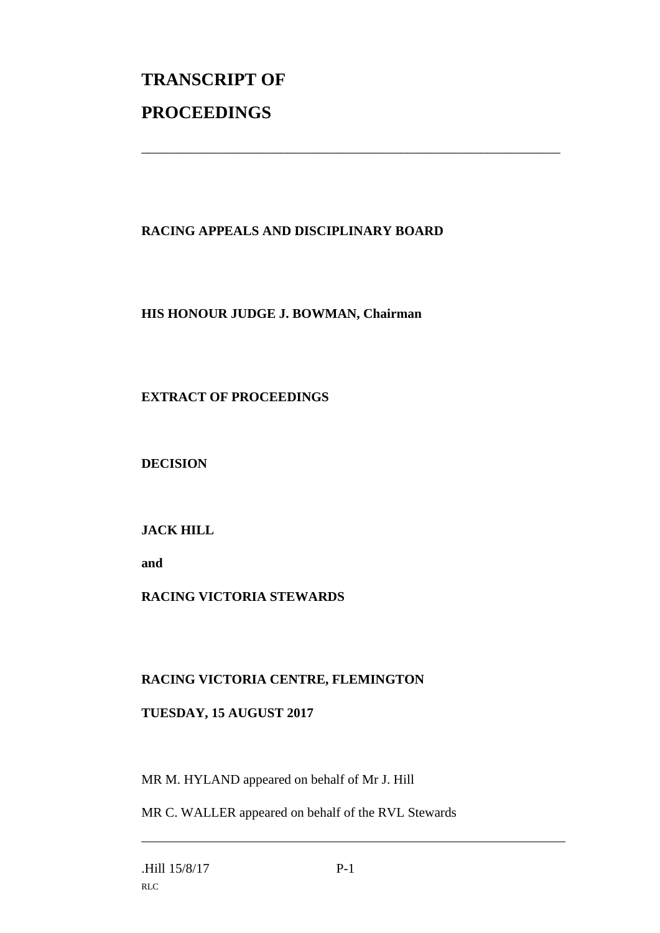# **TRANSCRIPT OF PROCEEDINGS**

### **RACING APPEALS AND DISCIPLINARY BOARD**

\_\_\_\_\_\_\_\_\_\_\_\_\_\_\_\_\_\_\_\_\_\_\_\_\_\_\_\_\_\_\_\_\_\_\_\_\_\_\_\_\_\_\_\_\_\_\_\_\_\_\_\_\_\_\_\_\_\_\_\_\_\_\_

#### **HIS HONOUR JUDGE J. BOWMAN, Chairman**

#### **EXTRACT OF PROCEEDINGS**

**DECISION**

#### **JACK HILL**

**and** 

#### **RACING VICTORIA STEWARDS**

#### **RACING VICTORIA CENTRE, FLEMINGTON**

#### **TUESDAY, 15 AUGUST 2017**

MR M. HYLAND appeared on behalf of Mr J. Hill

MR C. WALLER appeared on behalf of the RVL Stewards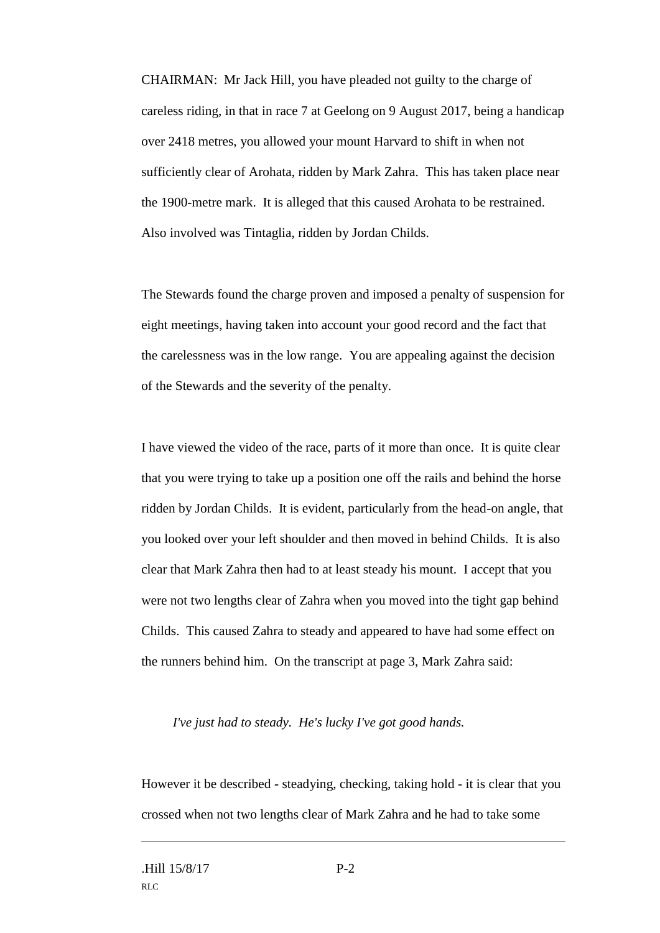CHAIRMAN: Mr Jack Hill, you have pleaded not guilty to the charge of careless riding, in that in race 7 at Geelong on 9 August 2017, being a handicap over 2418 metres, you allowed your mount Harvard to shift in when not sufficiently clear of Arohata, ridden by Mark Zahra. This has taken place near the 1900-metre mark. It is alleged that this caused Arohata to be restrained. Also involved was Tintaglia, ridden by Jordan Childs.

The Stewards found the charge proven and imposed a penalty of suspension for eight meetings, having taken into account your good record and the fact that the carelessness was in the low range. You are appealing against the decision of the Stewards and the severity of the penalty.

I have viewed the video of the race, parts of it more than once. It is quite clear that you were trying to take up a position one off the rails and behind the horse ridden by Jordan Childs. It is evident, particularly from the head-on angle, that you looked over your left shoulder and then moved in behind Childs. It is also clear that Mark Zahra then had to at least steady his mount. I accept that you were not two lengths clear of Zahra when you moved into the tight gap behind Childs. This caused Zahra to steady and appeared to have had some effect on the runners behind him. On the transcript at page 3, Mark Zahra said:

#### *I've just had to steady. He's lucky I've got good hands.*

However it be described - steadying, checking, taking hold - it is clear that you crossed when not two lengths clear of Mark Zahra and he had to take some